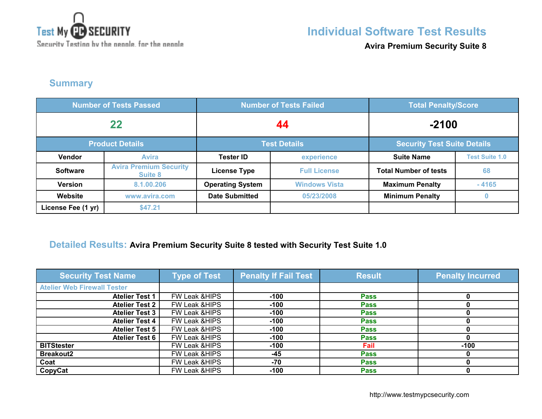

**Avira Premium Security Suite 8**

## **Summary**

| <b>Number of Tests Passed</b> |                                          | <b>Number of Tests Failed</b> |                      | <b>Total Penalty/Score</b>         |                       |
|-------------------------------|------------------------------------------|-------------------------------|----------------------|------------------------------------|-----------------------|
| 22                            |                                          | 44                            |                      | $-2100$                            |                       |
| <b>Product Details</b>        |                                          | <b>Test Details</b>           |                      | <b>Security Test Suite Details</b> |                       |
| <b>Vendor</b>                 | <b>Avira</b>                             | <b>Tester ID</b>              | experience           | <b>Suite Name</b>                  | <b>Test Suite 1.0</b> |
| <b>Software</b>               | <b>Avira Premium Security</b><br>Suite 8 | <b>License Type</b>           | <b>Full License</b>  | <b>Total Number of tests</b>       | 68                    |
| <b>Version</b>                | 8.1.00.206                               | <b>Operating System</b>       | <b>Windows Vista</b> | <b>Maximum Penalty</b>             | $-4165$               |
| Website                       | www.avira.com                            | <b>Date Submitted</b>         | 05/23/2008           | <b>Minimum Penalty</b>             | $\bf{0}$              |
| License Fee (1 yr)            | \$47.21                                  |                               |                      |                                    |                       |

## **Detailed Results: Avira Premium Security Suite 8 tested with Security Test Suite 1.0**

| <b>Security Test Name</b>          | <b>Type of Test</b>      | <b>Penalty If Fail Test</b> | <b>Result</b> | <b>Penalty Incurred</b> |
|------------------------------------|--------------------------|-----------------------------|---------------|-------------------------|
| <b>Atelier Web Firewall Tester</b> |                          |                             |               |                         |
| <b>Atelier Test 1</b>              | FW Leak & HIPS           | $-100$                      | <b>Pass</b>   |                         |
| <b>Atelier Test 2</b>              | FW Leak & HIPS           | $-100$                      | <b>Pass</b>   |                         |
| <b>Atelier Test 3</b>              | FW Leak & HIPS           | $-100$                      | <b>Pass</b>   |                         |
| <b>Atelier Test 4</b>              | FW Leak & HIPS           | $-100$                      | <b>Pass</b>   |                         |
| <b>Atelier Test 5</b>              | FW Leak & HIPS           | $-100$                      | <b>Pass</b>   |                         |
| <b>Atelier Test 6</b>              | FW Leak & HIPS           | $-100$                      | <b>Pass</b>   |                         |
| <b>BITStester</b>                  | FW Leak & HIPS           | $-100$                      | Fail          | $-100$                  |
| <b>Breakout2</b>                   | <b>FW Leak &amp;HIPS</b> | $-45$                       | <b>Pass</b>   |                         |
| Coat                               | FW Leak & HIPS           | $-70$                       | <b>Pass</b>   |                         |
| CopyCat                            | FW Leak & HIPS           | $-100$                      | <b>Pass</b>   |                         |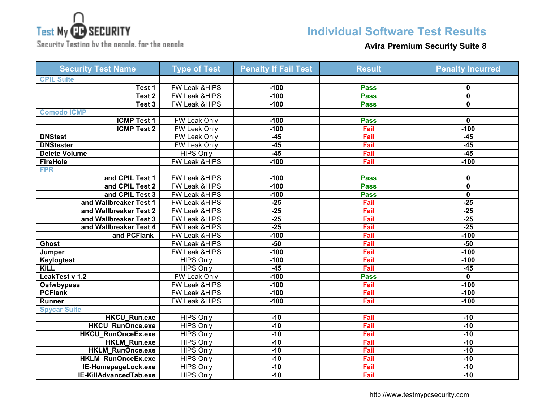

Security Testing by the neagle, for the neagle

## **Individual Software Test Results**

#### **Avira Premium Security Suite 8**

| <b>Security Test Name</b> | <b>Type of Test</b>      | <b>Penalty If Fail Test</b> | <b>Result</b> | <b>Penalty Incurred</b> |
|---------------------------|--------------------------|-----------------------------|---------------|-------------------------|
| <b>CPIL Suite</b>         |                          |                             |               |                         |
| Test 1                    | <b>FW Leak &amp;HIPS</b> | $-100$                      | <b>Pass</b>   | 0                       |
| Test <sub>2</sub>         | <b>FW Leak &amp;HIPS</b> | $-100$                      | <b>Pass</b>   | 0                       |
| Test 3                    | FW Leak &HIPS            | $-100$                      | <b>Pass</b>   | $\mathbf 0$             |
| <b>Comodo ICMP</b>        |                          |                             |               |                         |
| <b>ICMP Test 1</b>        | <b>FW Leak Only</b>      | $-100$                      | <b>Pass</b>   | 0                       |
| <b>ICMP Test 2</b>        | <b>FW Leak Only</b>      | $-100$                      | Fail          | $-100$                  |
| <b>DNStest</b>            | <b>FW Leak Only</b>      | $-45$                       | Fail          | $-45$                   |
| <b>DNStester</b>          | FW Leak Only             | $-45$                       | Fail          | $-45$                   |
| <b>Delete Volume</b>      | <b>HIPS Only</b>         | $-45$                       | Fail          | $-45$                   |
| <b>FireHole</b>           | <b>FW Leak &amp;HIPS</b> | $-100$                      | Fail          | $-100$                  |
| <b>FPR</b>                |                          |                             |               |                         |
| and CPIL Test 1           | <b>FW Leak &amp;HIPS</b> | $-100$                      | <b>Pass</b>   | 0                       |
| and CPIL Test 2           | FW Leak &HIPS            | $-100$                      | <b>Pass</b>   | $\mathbf 0$             |
| and CPIL Test 3           | <b>FW Leak &amp;HIPS</b> | $-100$                      | <b>Pass</b>   | $\mathbf 0$             |
| and Wallbreaker Test 1    | FW Leak &HIPS            | $-25$                       | Fail          | $-25$                   |
| and Wallbreaker Test 2    | <b>FW Leak &amp;HIPS</b> | $-25$                       | Fail          | $-25$                   |
| and Wallbreaker Test 3    | FW Leak &HIPS            | $-25$                       | Fail          | $-25$                   |
| and Wallbreaker Test 4    | <b>FW Leak &amp;HIPS</b> | $-25$                       | Fail          | $-25$                   |
| and PCFlank               | FW Leak &HIPS            | $-100$                      | Fail          | $-100$                  |
| <b>Ghost</b>              | <b>FW Leak &amp;HIPS</b> | $-50$                       | Fail          | $-50$                   |
| Jumper                    | FW Leak &HIPS            | $-100$                      | Fail          | $-100$                  |
| <b>Keylogtest</b>         | <b>HIPS Only</b>         | $-100$                      | Fail          | $-100$                  |
| <b>KiLL</b>               | <b>HIPS Only</b>         | $-45$                       | Fail          | $-45$                   |
| LeakTest v 1.2            | FW Leak Only             | $-100$                      | <b>Pass</b>   | 0                       |
| <b>Osfwbypass</b>         | <b>FW Leak &amp;HIPS</b> | $-100$                      | Fail          | $-100$                  |
| <b>PCFlank</b>            | <b>FW Leak &amp;HIPS</b> | $-100$                      | Fail          | $-100$                  |
| Runner                    | FW Leak &HIPS            | $-100$                      | Fail          | $-100$                  |
| <b>Spycar Suite</b>       |                          |                             |               |                         |
| <b>HKCU Run.exe</b>       | <b>HIPS Only</b>         | $-10$                       | Fail          | $-10$                   |
| HKCU_RunOnce.exe          | <b>HIPS Only</b>         | $-10$                       | Fail          | $-10$                   |
| <b>HKCU_RunOnceEx.exe</b> | <b>HIPS Only</b>         | $-10$                       | Fail          | $-10$                   |
| <b>HKLM Run.exe</b>       | <b>HIPS Only</b>         | $-10$                       | Fail          | $-10$                   |
| <b>HKLM RunOnce.exe</b>   | <b>HIPS Only</b>         | $-10$                       | Fail          | $-10$                   |
| <b>HKLM RunOnceEx.exe</b> | <b>HIPS Only</b>         | $-10$                       | Fail          | $-10$                   |
| IE-HomepageLock.exe       | <b>HIPS Only</b>         | $-10$                       | Fail          | $-10$                   |
| IE-KillAdvancedTab.exe    | <b>HIPS Only</b>         | $-10$                       | Fail          | $-10$                   |